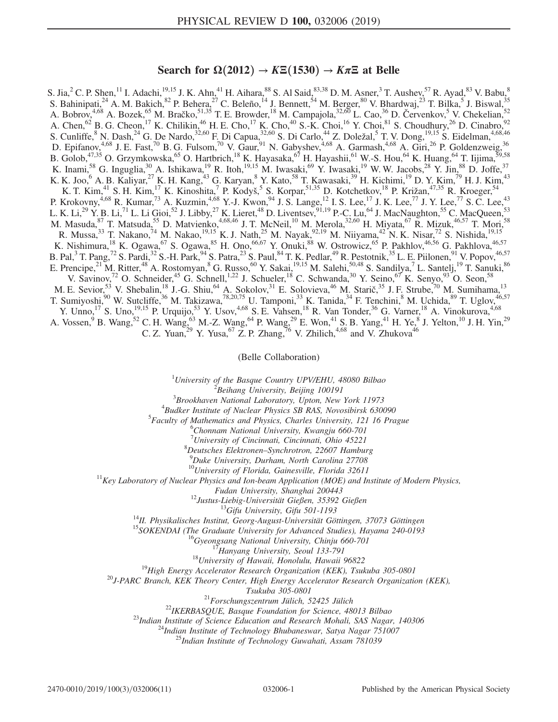## Search for  $\Omega(2012) \to K \Xi(1530) \to K \pi \Xi$  at Belle

S. Jia, <sup>2</sup> C. P. Shen,<sup>11</sup> I. Adachi,<sup>19,15</sup> J. K. Ahn,<sup>41</sup> H. Aihara,<sup>88</sup> S. Al Said,<sup>83,38</sup> D. M. Asner,<sup>3</sup> T. Aushev,<sup>57</sup> R. Ayad,<sup>83</sup> V. Babu,<sup>8</sup> S. Bahinipati,  $2^4$  A. M. Bakich,  $8^2$  P. Behera,  $2^7$  C. Beleño,  $1^4$  J. Bennett,  $5^4$  M. Berger,  $8^0$  V. Bhardwaj,  $2^3$  T. Bilka,  $5^5$  J. Biswal,  $3^5$ A. Bobrov,<sup>4,68</sup> A. Bozek,<sup>65</sup> M. Bračko,<sup>51,35</sup> T. E. Browder,<sup>18</sup> M. Campajola,<sup>32,60</sup> L. Cao,<sup>36</sup> D. Červenkov,<sup>5</sup> V. Chekelian,<sup>52</sup> A. Chen,  $^{62}$  B. G. Cheon,  $^{17}$  K. Chilikin,  $^{46}$  H. E. Cho,  $^{17}$  K. Cho,  $^{40}$  S.-K. Choi,  $^{16}$  Y. Choi,  $^{81}$  S. Choudhury,  $^{26}$  D. Cinabro,  $^{92}$ S. Cunliffe,  $8$  N. Dash,  $24$  G. De Nardo,  $32,60$  F. Di Capua,  $32,60$  S. Di Carlo,  $44$  Z. Doležal,  $5$  T. V. Dong,  $19,15$  S. Eidelman,  $4,68,46$ D. Epifanov,<sup>4,68</sup> J. E. Fast,<sup>70</sup> B. G. Fulsom,<sup>70</sup> V. Gaur,<sup>91</sup> N. Gabyshev,<sup>4,68</sup> A. Garmash,<sup>4,68</sup> A. Giri,<sup>26</sup> P. Goldenzweig,<sup>36</sup> B. Golob,  $47,35$  O. Grzymkowska,  $65$  O. Hartbrich,  $18$  K. Hayasaka,  $67$  H. Hayashii,  $61$  W.-S. Hou,  $64$  K. Huang,  $64$  T. Iijima,  $59,58$ K. Inami,<sup>58</sup> G. Inguglia,<sup>30</sup> A. Ishikawa,<sup>19</sup> R. Itoh,<sup>19,15</sup> M. Iwasaki,<sup>69</sup> Y. Iwasaki,<sup>19</sup> W. W. Jacobs,<sup>28</sup> Y. Jin,<sup>88</sup> D. Joffe,<sup>37</sup> K. K. Joo,<sup>6</sup> A. B. Kaliyar,<sup>27</sup> K. H. Kang,<sup>43</sup> G. Karyan,<sup>8</sup> Y. Kato,<sup>58</sup> T. Kawasaki,<sup>39</sup> H. Kichimi,<sup>19</sup> D. Y. Kim,<sup>79</sup> H. J. Kim,<sup>43</sup> K. T. Kim,<sup>41</sup> S. H. Kim,<sup>17</sup> K. Kinoshita,<sup>7</sup> P. Kodyš,<sup>5</sup> S. Korpar,<sup>51,35</sup> D. Kotchetkov,<sup>18</sup> P. Križan,<sup>47,35</sup> R. Kroeger,<sup>54</sup> P. Krokovny,<sup>4,68</sup> R. Kumar,<sup>73</sup> A. Kuzmin,<sup>4,68</sup> Y.-J. Kwon,<sup>94</sup> J. S. Lange,<sup>12</sup> I. S. Lee,<sup>17</sup> J. K. Lee,<sup>77</sup> J. Y. Lee,<sup>77</sup> S. C. Lee,<sup>43</sup> L. K. Li,<sup>29</sup> Y. B. Li,<sup>71</sup> L. Li Gioi,<sup>52</sup> J. Libby,<sup>27</sup> K. Lieret,<sup>48</sup> D. Liventsev,<sup>91,19</sup> P.-C. Lu,<sup>64</sup> J. MacNaughton,<sup>55</sup> C. MacQueen,<sup>53</sup> M. Masuda,  $^{87}$  T. Matsuda,  $^{55}$  D. Matvienko,  $^{4,68,46}$  J. T. McNeil,  $^{10}$  M. Merola,  $^{32,60}$  H. Miyata,  $^{67}$  R. Mizuk,  $^{46,57}$  T. Mori,  $^{58}$ R. Mussa,<sup>33</sup> T. Nakano,<sup>74</sup> M. Nakao,<sup>19,15</sup> K. J. Nath,<sup>25</sup> M. Nayak,<sup>92,19</sup> M. Niiyama,<sup>42</sup> N. K. Nisar,<sup>72</sup> S. Nishida,<sup>19,15</sup> K. Nishimura,<sup>18</sup> K. Ogawa,<sup>67</sup> S. Ogawa,<sup>85</sup> H. Ono,<sup>66,67</sup> Y. Onuki,<sup>88</sup> W. Ostrowicz,<sup>65</sup> P. Pakhlov,<sup>46,56</sup> G. Pakhlova,<sup>46,57</sup> B. Pal,<sup>3</sup> T. Pang,<sup>72</sup> S. Pardi,<sup>32</sup> S.-H. Park,<sup>94</sup> S. Patra,<sup>23</sup> S. Paul,<sup>84</sup> T. K. Pedlar,<sup>49</sup> R. Pestotnik,<sup>35</sup> L. E. Piilonen,<sup>91</sup> V. Popov,<sup>46,57</sup> E. Prencipe,<sup>21</sup> M. Ritter,<sup>48</sup> A. Rostomyan,<sup>8</sup> G. Russo,<sup>60</sup> Y. Sakai,<sup>19,15</sup> M. Salehi,<sup>50,48</sup> S. Sandilya,<sup>7</sup> L. Santelj,<sup>19</sup> T. Sanuki,<sup>86</sup> V. Savinov,<sup>72</sup> O. Schneider,<sup>45</sup> G. Schnell,<sup>1,22</sup> J. Schueler,<sup>18</sup> C. Schwanda,<sup>30</sup> Y. Seino,<sup>67</sup> K. Senyo,<sup>93</sup> O. Seon,<sup>58</sup> M. E. Sevior,<sup>53</sup> V. Shebalin,<sup>18</sup> J.-G. Shiu,<sup>64</sup> A. Sokolov,<sup>31</sup> E. Solovieva,<sup>46</sup> M. Starič,<sup>35</sup> J. F. Strube,<sup>70</sup> M. Sumihama,<sup>13</sup> T. Sumiyoshi,<sup>90</sup> W. Sutcliffe,<sup>36</sup> M. Takizawa,<sup>78,20,75</sup> U. Tamponi,<sup>33</sup> K. Tanida,<sup>34</sup> F. Tenchini,<sup>8</sup> M. Uchida,<sup>89</sup> T. Uglov,<sup>46,57</sup> Y. Unno,<sup>17</sup> S. Uno,<sup>19,15</sup> P. Urquijo,<sup>53</sup> Y. Usov,<sup>4,68</sup> S. E. Vahsen,<sup>18</sup> R. Van Tonder,<sup>36</sup> G. Varner,<sup>18</sup> A. Vinokurova,<sup>4,68</sup> A. Vossen, <sup>9</sup> B. Wang, <sup>52</sup> C. H. Wang, <sup>63</sup> M.-Z. Wang, <sup>64</sup> P. Wang, <sup>29</sup> E. Won, <sup>41</sup> S. B. Yang, <sup>41</sup> H. Ye, <sup>8</sup> J. Yelton, <sup>10</sup> J. H. Yin, <sup>29</sup> C. Z. Yuan,<sup>29</sup> Y. Yusa,<sup>67</sup> Z. P. Zhang,<sup>76</sup> V. Zhilich,<sup>4,68</sup> and V. Zhukova<sup>46</sup>

(Belle Collaboration)

<sup>1</sup>University of the Basque Country UPV/EHU, 48080 Bilbao  $\frac{2 \text{ B} \text{g}}{2 \text{ B} \text{g}}$  Library University, Bailing 100101

 $^2$ Beihang University, Beijing 100191

 $3B$ rookhaven National Laboratory, Upton, New York 11973

 ${}^{4}$ Budker Institute of Nuclear Physics SB RAS, Novosibirsk 630090

 ${}^{5}$ Faculty of Mathematics and Physics, Charles University, 121 16 Prague

Chonnam National University, Kwangju 660-701

<sup>7</sup> University of Cincinnati, Cincinnati, Ohio 45221<sup>8</sup> Dautsches, Elektronan, Synghretran, 22607, Hambu-

 ${}^{8}$ Deutsches Elektronen–Synchrotron, 22607 Hamburg

<sup>9</sup>Duke University, Durham, North Carolina 27708<br><sup>10</sup>University of Florida, Gainesville, Florida 32611

 $11$ Key Laboratory of Nuclear Physics and Ion-beam Application (MOE) and Institute of Modern Physics,

Fudan University, Shanghai 200443<br><sup>12</sup>Justus-Liebig-Universität Gießen, 35392 Gießen<br><sup>13</sup>Gifu University, Gifu 501-1193<br><sup>14</sup>II. Physikalisches Institut, Georg-August-Universität Göttingen, 37073 Göttingen<br><sup>15</sup>SOKENDAI (The

Tsukuba 305-0801<br><sup>21</sup>Forschungszentrum Jülich, 52425 Jülich<br><sup>22</sup>IKERBASQUE, Basque Foundation for Science, 48013 Bilbao<br><sup>23</sup>Indian Institute of Science Education and Research Mohali, SAS Nagar, 140306<br><sup>24</sup>Indian Institute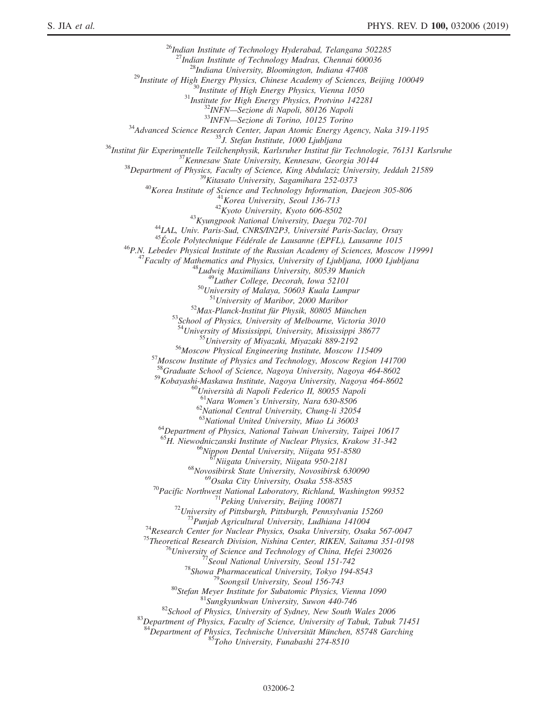<sup>26</sup>Indian Institute of Technology Hyderabad, Telangana 502285<sup>27</sup>Indian Institute of Technology Madras, Chennai 600036 <sup>27</sup>Indian Institute of Technology Madras, Chemiai 600036<br>
<sup>28</sup>Institute of High Energy Physics, Chinese Academy of Sciences, Beijing 100049<br>
<sup>39</sup>Institute of High Energy Physics, Vienna 1050<br>
<sup>39</sup>Institute for High Ener <sup>53</sup>School of Physics, University of Melbourne, Victoria 3010<br><sup>54</sup>University of Mississippi, University, Mississippi 38677<br><sup>55</sup>University of Miyazaki, Miyazaki 889-2192<br><sup>56</sup>Moscow Physical Engineering Institute, Moscow 11 <sup>58</sup>Graduate School of Science, Nagoya University, Nagoya 464-8602 <sup>59</sup>Kobayashi-Maskawa Institute, Nagoya University, Nagoya 464-8602<br>
<sup>60</sup>Università di Napoli Federico II, 80055 Napoli<br>
<sup>61</sup>Nara Women's University, Nara 630-8506<br>
<sup>62</sup>National Central University, Chung-li 32054<br>
<sup>63</sup>Nat <sup>64</sup>Department of Physics, National Taiwan University, Taipei 10617 <sup>65</sup>H. Niewodniczanski Institute of Nuclear Physics, Krakow 31-342<br><sup>66</sup>Nippon Dental University, Niigata 951-8580<br><sup>67</sup>Niigata University, Niigata 950-2181<br><sup>68</sup>Novosibirsk State University, Novosibirsk 630090<br><sup>69</sup>Osaka Cit <sup>69</sup>Osaka City University, Osaka 558-8585<br>
<sup>70</sup>Pacific Northwest National Laboratory, Richland, Washington 99352<br>
<sup>71</sup>Peking University, Beijing 100871<br>
<sup>72</sup>University of Pittsburgh, Pittsburgh, Pennsylvania 15260<br>
<sup>73</sup>Pu  $84\overline{D}$ epartment of Physics, Technische Universität München, 85748 Garching  $857\overline{A}$  S $57\overline{A}$  Roho University, Funabashi 274-8510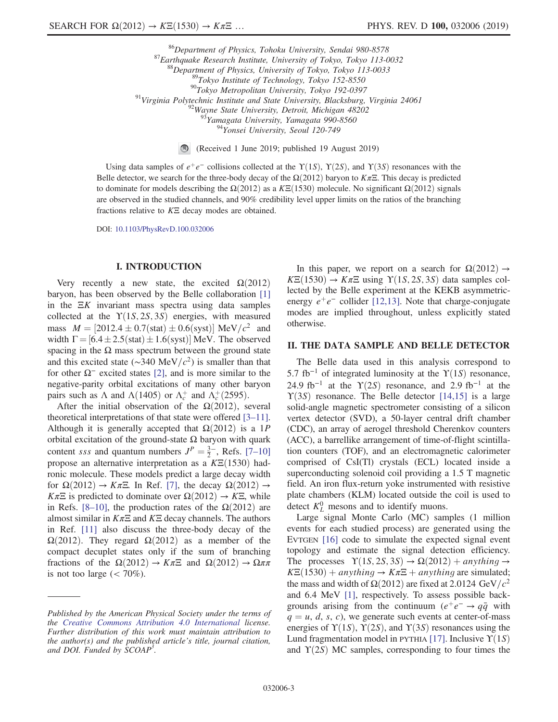<sup>86</sup>Department of Physics, Tohoku University, Sendai 980-8578<br><sup>87</sup>Earthquake Research Institute, University of Tokyo, Tokyo 113-0032<br><sup>89</sup>Department of Physics, University of Tokyo, Tokyo 113-0033<br><sup>89</sup>Tokyo Institute of Te

(Received 1 June 2019; published 19 August 2019)

Using data samples of  $e^+e^-$  collisions collected at the  $\Upsilon(1S)$ ,  $\Upsilon(2S)$ , and  $\Upsilon(3S)$  resonances with the Belle detector, we search for the three-body decay of the  $\Omega(2012)$  baryon to K $\pi\Xi$ . This decay is predicted to dominate for models describing the  $\Omega(2012)$  as a K $\Xi(1530)$  molecule. No significant  $\Omega(2012)$  signals are observed in the studied channels, and 90% credibility level upper limits on the ratios of the branching fractions relative to  $K\Xi$  decay modes are obtained.

DOI: [10.1103/PhysRevD.100.032006](https://doi.org/10.1103/PhysRevD.100.032006)

#### I. INTRODUCTION

Very recently a new state, the excited  $\Omega(2012)$ baryon, has been observed by the Belle collaboration [\[1\]](#page-10-0) in the  $\Xi K$  invariant mass spectra using data samples collected at the  $\Upsilon(1S, 2S, 3S)$  energies, with measured mass  $M = [2012.4 \pm 0.7(stat) \pm 0.6(syst)] \text{ MeV}/c^2$  and width  $\Gamma = [6.4 \pm 2.5 \text{(stat)} \pm 1.6 \text{(syst)}] \text{ MeV}$ . The observed spacing in the  $\Omega$  mass spectrum between the ground state and this excited state ( $\sim$ 340 MeV/ $c^2$ ) is smaller than that for other  $\Omega^-$  excited states [\[2\],](#page-10-1) and is more similar to the negative-parity orbital excitations of many other baryon pairs such as  $\Lambda$  and  $\Lambda(1405)$  or  $\Lambda_c^+$  and  $\Lambda_c^+(2595)$ .

After the initial observation of the  $\Omega(2012)$ , several theoretical interpretations of that state were offered [3–[11\]](#page-10-2). Although it is generally accepted that  $\Omega(2012)$  is a 1P orbital excitation of the ground-state  $\Omega$  baryon with quark content sss and quantum numbers  $J^P = \frac{3}{2}$ , Refs. [7–[10\]](#page-10-3) propose an alternative interpretation as a  $K\text{E}(1530)$  hadronic molecule. These models predict a large decay width for  $\Omega(2012) \rightarrow K \pi \Xi$ . In Ref. [\[7\],](#page-10-3) the decay  $\Omega(2012) \rightarrow$  $K\pi\Xi$  is predicted to dominate over  $\Omega(2012) \rightarrow K\Xi$ , while in Refs. [8–[10\],](#page-10-4) the production rates of the  $\Omega(2012)$  are almost similar in  $K\pi\Xi$  and  $K\Xi$  decay channels. The authors in Ref. [\[11\]](#page-10-5) also discuss the three-body decay of the  $\Omega(2012)$ . They regard  $\Omega(2012)$  as a member of the compact decuplet states only if the sum of branching fractions of the  $\Omega(2012) \rightarrow K\pi\Xi$  and  $\Omega(2012) \rightarrow \Omega\pi\pi$ is not too large  $\left( < 70\% \right)$ .

In this paper, we report on a search for  $\Omega(2012) \rightarrow$  $K\Xi(1530) \rightarrow K\pi\Xi$  using  $\Upsilon(1S, 2S, 3S)$  data samples collected by the Belle experiment at the KEKB asymmetricenergy  $e^+e^-$  collider [\[12,13\].](#page-10-6) Note that charge-conjugate modes are implied throughout, unless explicitly stated otherwise.

## II. THE DATA SAMPLE AND BELLE DETECTOR

The Belle data used in this analysis correspond to 5.7 fb<sup>-1</sup> of integrated luminosity at the  $\Upsilon(1S)$  resonance, 24.9 fb<sup>-1</sup> at the  $\Upsilon(2S)$  resonance, and 2.9 fb<sup>-1</sup> at the  $\Upsilon(3S)$  resonance. The Belle detector [\[14,15\]](#page-10-7) is a large solid-angle magnetic spectrometer consisting of a silicon vertex detector (SVD), a 50-layer central drift chamber (CDC), an array of aerogel threshold Cherenkov counters (ACC), a barrellike arrangement of time-of-flight scintillation counters (TOF), and an electromagnetic calorimeter comprised of CsI(Tl) crystals (ECL) located inside a superconducting solenoid coil providing a 1.5 T magnetic field. An iron flux-return yoke instrumented with resistive plate chambers (KLM) located outside the coil is used to detect  $K_L^0$  mesons and to identify muons.

Large signal Monte Carlo (MC) samples (1 million events for each studied process) are generated using the EVTGEN [\[16\]](#page-10-8) code to simulate the expected signal event topology and estimate the signal detection efficiency. The processes  $\Upsilon(1S, 2S, 3S) \rightarrow \Omega(2012) + anything \rightarrow$  $K\Xi(1530) + anything \rightarrow K\pi\Xi + anything$  are simulated; the mass and width of  $\Omega(2012)$  are fixed at 2.0124 GeV/ $c^2$ and 6.4 MeV [\[1\]](#page-10-0), respectively. To assess possible backgrounds arising from the continuum ( $e^+e^- \rightarrow q\bar{q}$  with  $q = u, d, s, c$ , we generate such events at center-of-mass energies of  $\Upsilon(1S)$ ,  $\Upsilon(2S)$ , and  $\Upsilon(3S)$  resonances using the Lund fragmentation model in PYTHIA [\[17\].](#page-10-9) Inclusive  $\Upsilon(1S)$ and  $\Upsilon(2S)$  MC samples, corresponding to four times the

Published by the American Physical Society under the terms of the [Creative Commons Attribution 4.0 International](https://creativecommons.org/licenses/by/4.0/) license. Further distribution of this work must maintain attribution to the author(s) and the published article's title, journal citation, and DOI. Funded by SCOAP<sup>3</sup>.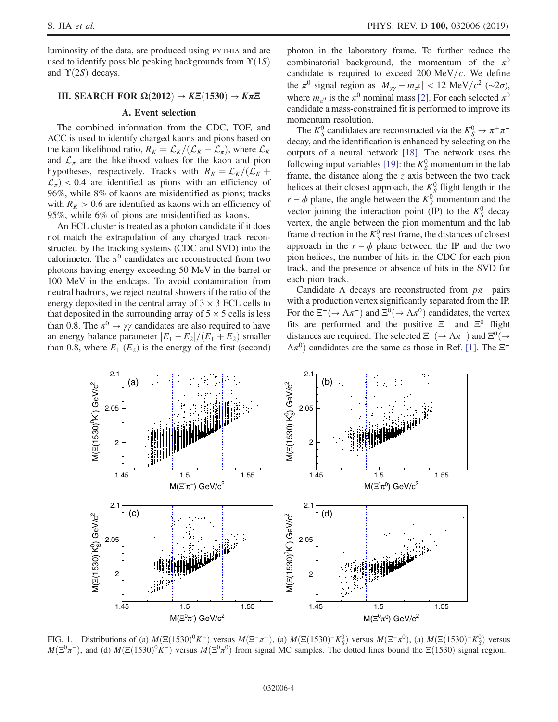luminosity of the data, are produced using PYTHIA and are used to identify possible peaking backgrounds from  $\Upsilon(1S)$ and  $\Upsilon(2S)$  decays.

# III. SEARCH FOR  $\Omega(2012) \rightarrow K\Xi(1530) \rightarrow K\pi\Xi$

## A. Event selection

The combined information from the CDC, TOF, and ACC is used to identify charged kaons and pions based on the kaon likelihood ratio,  $R_K = \mathcal{L}_K / (\mathcal{L}_K + \mathcal{L}_\pi)$ , where  $\mathcal{L}_K$ and  $\mathcal{L}_{\pi}$  are the likelihood values for the kaon and pion hypotheses, respectively. Tracks with  $R_K = \mathcal{L}_K / (\mathcal{L}_K +$  $\mathcal{L}_{\pi}$ ) < 0.4 are identified as pions with an efficiency of 96%, while 8% of kaons are misidentified as pions; tracks with  $R_K > 0.6$  are identified as kaons with an efficiency of 95%, while 6% of pions are misidentified as kaons.

An ECL cluster is treated as a photon candidate if it does not match the extrapolation of any charged track reconstructed by the tracking systems (CDC and SVD) into the calorimeter. The  $\pi^0$  candidates are reconstructed from two photons having energy exceeding 50 MeV in the barrel or 100 MeV in the endcaps. To avoid contamination from neutral hadrons, we reject neutral showers if the ratio of the energy deposited in the central array of  $3 \times 3$  ECL cells to that deposited in the surrounding array of  $5 \times 5$  cells is less than 0.8. The  $\pi^0 \rightarrow \gamma \gamma$  candidates are also required to have an energy balance parameter  $|E_1 - E_2|/(E_1 + E_2)$  smaller than 0.8, where  $E_1(E_2)$  is the energy of the first (second)

photon in the laboratory frame. To further reduce the combinatorial background, the momentum of the  $\pi^0$ candidate is required to exceed 200 MeV/ $c$ . We define the  $\pi^0$  signal region as  $|M_{\gamma\gamma} - m_{\pi^0}| < 12 \text{ MeV}/c^2 \ (\sim 2\sigma)$ , where  $m_{\pi^0}$  is the  $\pi^0$  nominal mass [\[2\]](#page-10-1). For each selected  $\pi^0$ candidate a mass-constrained fit is performed to improve its momentum resolution.

The  $K_S^0$  candidates are reconstructed via the  $K_S^0 \to \pi^+ \pi^$ decay, and the identification is enhanced by selecting on the outputs of a neural network [\[18\].](#page-10-10) The network uses the following input variables [\[19\]:](#page-10-11) the  $K_S^0$  momentum in the lab frame, the distance along the  $z$  axis between the two track helices at their closest approach, the  $K_S^0$  flight length in the  $r - \phi$  plane, the angle between the  $K_S^0$  momentum and the vector joining the interaction point (IP) to the  $K_S^0$  decay vertex, the angle between the pion momentum and the lab frame direction in the  $K_S^0$  rest frame, the distances of closest approach in the  $r - \phi$  plane between the IP and the two pion helices, the number of hits in the CDC for each pion track, and the presence or absence of hits in the SVD for each pion track.

Candidate  $\Lambda$  decays are reconstructed from  $p\pi^-$  pairs with a production vertex significantly separated from the IP. For the  $\Xi^{-}(\rightarrow \Lambda \pi^{-})$  and  $\Xi^{0}(\rightarrow \Lambda \pi^{0})$  candidates, the vertex fits are performed and the positive  $\Xi^-$  and  $\Xi^0$  flight distances are required. The selected  $\Xi^{-}(\rightarrow \Lambda \pi^{-})$  and  $\Xi^{0}(\rightarrow$  $\Lambda \pi^{0}$ ) candidates are the same as those in Ref. [\[1\].](#page-10-0) The  $\Xi^{-}$ 

<span id="page-3-0"></span>

FIG. 1. Distributions of (a)  $M(\Xi(1530)^0 K^-)$  versus  $M(\Xi^-\pi^+)$ , (a)  $M(\Xi(1530)^-K_S^0)$  versus  $M(\Xi^-\pi^0)$ , (a)  $M(\Xi(1530)^-K_S^0)$  versus  $M(\Xi^0\pi^-)$ , and (d)  $M(\Xi(1530)^0K^-)$  versus  $M(\Xi^0\pi^0)$  from signal MC samples. The dotted lines bound the  $\Xi(1530)$  signal region.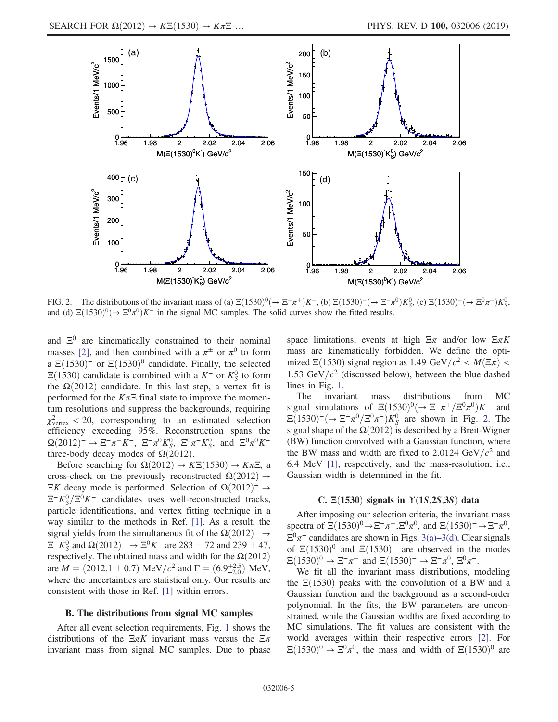<span id="page-4-0"></span>

FIG. 2. The distributions of the invariant mass of (a)  $\Xi(1530)^0 (\rightarrow \Xi^-\pi^+) K^-$ , (b)  $\Xi(1530)^- (\rightarrow \Xi^-\pi^0) K_0^0$ , (c)  $\Xi(1530)^- (\rightarrow \Xi^0\pi^-) K_0^0$ , and (d)  $\Xi(1530)^{0}$   $\rightarrow$   $\Xi^{0}\pi^{0}$  K<sup>-</sup> in the signal MC samples. The solid curves show the fitted results.

and  $\Xi^0$  are kinematically constrained to their nominal masses [\[2\]](#page-10-1), and then combined with a  $\pi^{\pm}$  or  $\pi^{0}$  to form a  $\Xi(1530)^-$  or  $\Xi(1530)^0$  candidate. Finally, the selected  $\Xi(1530)$  candidate is combined with a K<sup>-</sup> or K<sup>0</sup><sub>S</sub> to form the  $\Omega(2012)$  candidate. In this last step, a vertex fit is performed for the  $K\pi\Xi$  final state to improve the momentum resolutions and suppress the backgrounds, requiring  $\chi^2_{\text{vertex}}$  < 20, corresponding to an estimated selection efficiency exceeding 95%. Reconstruction spans the  $\Omega(2012)^- \to \Xi^- \pi^+ K^-$ ,  $\Xi^- \pi^0 K_S^0$ ,  $\Xi^0 \pi^- K_S^0$ , and  $\Xi^0 \pi^0 K^$ three-body decay modes of  $\Omega(2012)$ .

Before searching for  $\Omega(2012) \rightarrow K\Xi(1530) \rightarrow K\pi\Xi$ , a cross-check on the previously reconstructed  $\Omega(2012) \rightarrow$  $\Xi K$  decay mode is performed. Selection of Ω $(2012)^-$  →  $\Xi^- K_S^0 / \Xi^0 K^-$  candidates uses well-reconstructed tracks, particle identifications, and vertex fitting technique in a way similar to the methods in Ref. [\[1\]](#page-10-0). As a result, the signal yields from the simultaneous fit of the  $\Omega(2012)^{−} \rightarrow$  $\Xi^- K^0_S$  and  $\Omega(2012)^- \to \Xi^0 K^-$  are 283  $\pm$  72 and 239  $\pm$  47, respectively. The obtained mass and width for the  $\Omega(2012)$ are  $M = (2012.1 \pm 0.7) \text{ MeV}/c^2$  and  $\Gamma = (6.9^{+2.5}_{-2.0}) \text{ MeV}$ , where the uncertainties are statistical only. Our results are consistent with those in Ref. [\[1\]](#page-10-0) within errors.

#### B. The distributions from signal MC samples

After all event selection requirements, Fig. [1](#page-3-0) shows the distributions of the  $\Xi \pi K$  invariant mass versus the  $\Xi \pi$ invariant mass from signal MC samples. Due to phase space limitations, events at high  $\Xi \pi$  and/or low  $\Xi \pi K$ mass are kinematically forbidden. We define the optimized  $\Xi(1530)$  signal region as 1.49 GeV/ $c^2 < M(\Xi \pi)$  < 1.53 GeV/ $c^2$  (discussed below), between the blue dashed lines in Fig. [1](#page-3-0).

The invariant mass distributions from MC signal simulations of  $\Xi(1530)^{0}$ ( $\rightarrow \Xi^{-}\pi^{+}/\Xi^{0}\pi^{0})K^{-}$  and  $\Xi(1530)^-(\rightarrow \Xi^- \pi^0/\Xi^0 \pi^-)K_S^0$  are shown in Fig. [2.](#page-4-0) The signal shape of the  $\Omega(2012)$  is described by a Breit-Wigner (BW) function convolved with a Gaussian function, where the BW mass and width are fixed to 2.0124  $GeV/c^2$  and 6.4 MeV [\[1\],](#page-10-0) respectively, and the mass-resolution, i.e., Gaussian width is determined in the fit.

#### C.  $\Xi(1530)$  signals in  $\Upsilon(1S, 2S, 3S)$  data

After imposing our selection criteria, the invariant mass spectra of  $\Xi(1530)^0 \rightarrow \Xi^-\pi^+, \Xi^0\pi^0$ , and  $\Xi(1530)^-\rightarrow \Xi^-\pi^0$ ,  $\Xi^0 \pi^-$  candidates are shown in Figs. 3(a)–[3\(d\).](#page-5-0) Clear signals of  $\Xi(1530)^0$  and  $\Xi(1530)^-$  are observed in the modes  $\Xi(1530)^0 \to \Xi^- \pi^+$  and  $\Xi(1530)^- \to \Xi^- \pi^0$ ,  $\Xi^0 \pi^-$ .

We fit all the invariant mass distributions, modeling the  $\Xi(1530)$  peaks with the convolution of a BW and a Gaussian function and the background as a second-order polynomial. In the fits, the BW parameters are unconstrained, while the Gaussian widths are fixed according to MC simulations. The fit values are consistent with the world averages within their respective errors [\[2\].](#page-10-1) For  $\Xi(1530)^{0} \rightarrow \Xi^{0} \pi^{0}$ , the mass and width of  $\Xi(1530)^{0}$  are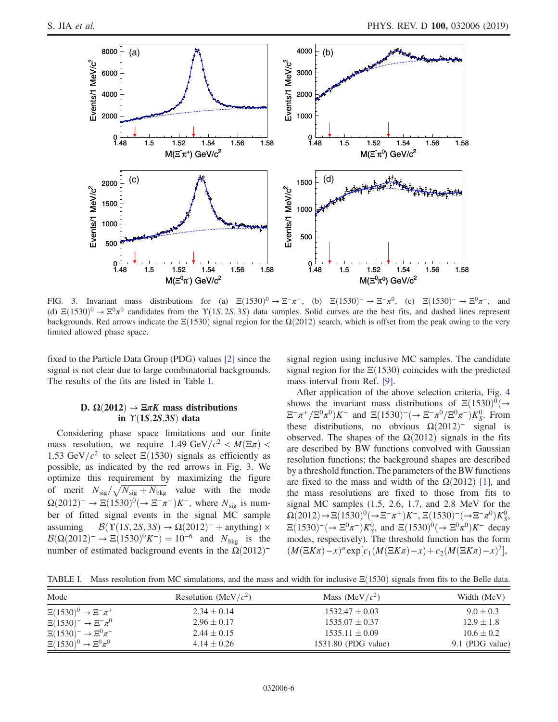<span id="page-5-0"></span>

FIG. 3. Invariant mass distributions for (a)  $\Xi(1530)^0 \rightarrow \Xi^-\pi^+$ , (b)  $\Xi(1530)^-\rightarrow \Xi^-\pi^0$ , (c)  $\Xi(1530)^-\rightarrow \Xi^0\pi^-$ , and (d)  $\Xi(1530)^{0} \rightarrow \Xi^{0}\pi^{0}$  candidates from the  $\Upsilon(1S, 2S, 3S)$  data samples. Solid curves are the best fits, and dashed lines represent backgrounds. Red arrows indicate the  $\Xi(1530)$  signal region for the  $\Omega(2012)$  search, which is offset from the peak owing to the very limited allowed phase space.

fixed to the Particle Data Group (PDG) values [\[2\]](#page-10-1) since the signal is not clear due to large combinatorial backgrounds. The results of the fits are listed in Table [I.](#page-5-1)

## D.  $\Omega(2012) \rightarrow \Xi \pi K$  mass distributions in  $\Upsilon(1S, 2S, 3S)$  data

Considering phase space limitations and our finite mass resolution, we require 1.49 GeV/ $c^2 < M(\Xi \pi)$  < 1.53 GeV/ $c^2$  to select  $\Xi(1530)$  signals as efficiently as possible, as indicated by the red arrows in Fig. [3.](#page-5-0) We optimize this requirement by maximizing the figure of merit  $N_{\text{sig}}/\sqrt{N_{\text{sig}}+N_{\text{bkg}}}$  value with the mode  $\Omega(2012)^-\to \Xi(1530)^0(\to \Xi^-\pi^+)K^-$ , where  $N_{\text{sig}}$  is number of fitted signal events in the signal MC sample assuming  $B(Y(1S, 2S, 3S) \rightarrow \Omega(2012)^{-} +$  anything) ×  $B(\Omega(2012)^{-} \to \Xi(1530)^{0} K^{-}) = 10^{-6}$  and  $N_{\text{bkg}}$  is the number of estimated background events in the  $Ω(2012)$ <sup>-</sup>

signal region using inclusive MC samples. The candidate signal region for the  $\Xi(1530)$  coincides with the predicted mass interval from Ref. [\[9\]](#page-10-12).

After application of the above selection criteria, Fig. [4](#page-6-0) shows the invariant mass distributions of  $\Xi(1530)^{0}$ ( $\rightarrow$  $\Xi^{-}\pi^{+}/\Xi^{0}\pi^{0})K^{-}$  and  $\Xi(1530)^{-}(\rightarrow \Xi^{-}\pi^{0}/\Xi^{0}\pi^{-})K_{S}^{0}$ . From these distributions, no obvious  $\Omega(2012)^-$  signal is observed. The shapes of the  $\Omega(2012)$  signals in the fits are described by BW functions convolved with Gaussian resolution functions; the background shapes are described by a threshold function. The parameters of the BW functions are fixed to the mass and width of the  $\Omega(2012)$  [\[1\]](#page-10-0), and the mass resolutions are fixed to those from fits to signal MC samples (1.5, 2.6, 1.7, and 2.8 MeV for the  $Ω(2012) → Ξ(1530)<sup>0</sup>( → Ξ<sup>-</sup>π<sup>+</sup>)K<sup>-</sup>, Ξ(1530)<sup>-</sup>( → Ξ<sup>-</sup>π<sup>0</sup>)K<sub>S</sub><sup>0</sup>,$  $\Xi(1530)^{-}(\rightarrow \Xi^{0}\pi^{-})K_{S}^{0}$ , and  $\Xi(1530)^{0}(\rightarrow \Xi^{0}\pi^{0})K^{-}$  decay modes, respectively). The threshold function has the form  $(M(\Xi K\pi)-x)^{\alpha}$ exp[ $c_1(M(\Xi K\pi)-x)+c_2(M(\Xi K\pi)-x)^2$ ],

<span id="page-5-1"></span>TABLE I. Mass resolution from MC simulations, and the mass and width for inclusive  $E(1530)$  signals from fits to the Belle data.

| Mode                                | Resolution (MeV/ $c2$ ) | Mass (MeV/ $c2$ )   | Width (MeV)     |  |
|-------------------------------------|-------------------------|---------------------|-----------------|--|
| $\Xi(1530)^0 \to \Xi^- \pi^+$       | $2.34 \pm 0.14$         | $1532.47 \pm 0.03$  | $9.0 \pm 0.3$   |  |
| $\Xi(1530)^{-} \to \Xi^{-} \pi^{0}$ | $2.96 \pm 0.17$         | $1535.07 \pm 0.37$  | $12.9 \pm 1.8$  |  |
| $\Xi(1530)^{-} \to \Xi^{0} \pi^{-}$ | $2.44 \pm 0.15$         | $1535.11 \pm 0.09$  | $10.6 \pm 0.2$  |  |
| $\Xi(1530)^0 \to \Xi^0 \pi^0$       | $4.14 \pm 0.26$         | 1531.80 (PDG value) | 9.1 (PDG value) |  |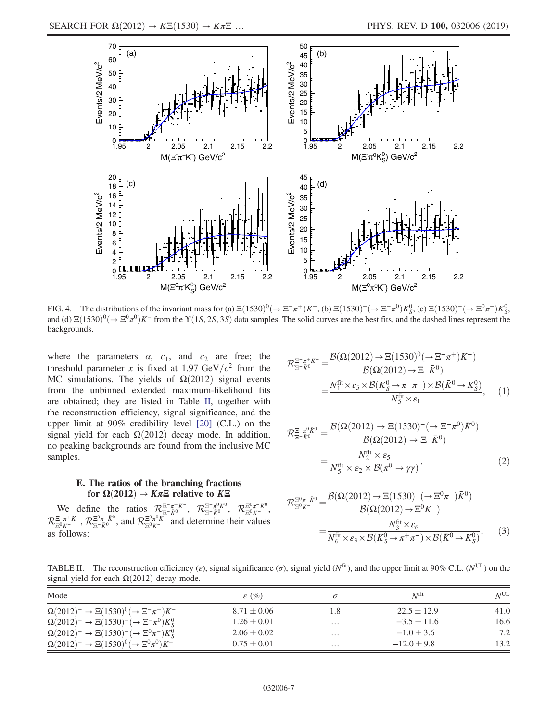<span id="page-6-0"></span>

FIG. 4. The distributions of the invariant mass for (a)  $\Xi(1530)^0 (\rightarrow \Xi^-\pi^+) K^-$ , (b)  $\Xi(1530)^- (\rightarrow \Xi^-\pi^0) K_S^0$ , (c)  $\Xi(1530)^- (\rightarrow \Xi^0\pi^-) K_S^0$ , and (d)  $\Xi(1530)^0$ ( $\rightarrow \Xi^0 \pi^0$ )K<sup>-</sup> from the Y(1S, 2S, 3S) data samples. The solid curves are the best fits, and the dashed lines represent the backgrounds.

where the parameters  $\alpha$ ,  $c_1$ , and  $c_2$  are free; the threshold parameter x is fixed at 1.97 GeV/ $c^2$  from the MC simulations. The yields of  $\Omega(2012)$  signal events from the unbinned extended maximum-likelihood fits are obtained; they are listed in Table [II](#page-6-1), together with the reconstruction efficiency, signal significance, and the upper limit at 90% credibility level [\[20\]](#page-10-13) (C.L.) on the signal yield for each  $\Omega(2012)$  decay mode. In addition, no peaking backgrounds are found from the inclusive MC samples.

## E. The ratios of the branching fractions for  $\Omega(2012) \rightarrow K\pi\Xi$  relative to K $\Xi$

<span id="page-6-2"></span>We define the ratios  $\mathcal{R}^{\Xi^-\pi^+K^-}_{\Xi^-\bar{K}^0}$ ,  $\mathcal{R}^{\Xi^-\pi^0\bar{K}^0}_{\Xi^0K^-}$ ,  $\mathcal{R}^{\Xi^0\pi^-\bar{K}^0}_{\Xi^0K^-}$  $\mathcal{R}_{\Xi^0 K^-}^{\Xi^-\pi^+K^-}$  $\frac{\Xi^-\pi^+K^-}{\Xi^0\pi^-K^0}$ , and  $\mathcal{R}_{\Xi^0K^-}^{\Xi^0\pi^0K^-}$  and determine their values as follows:

$$
\mathcal{R}_{\Xi^- \bar{K}^0}^{\Xi^- \pi^+ K^-} = \frac{\mathcal{B}(\Omega(2012) \to \Xi(1530)^0 (\to \Xi^- \pi^+) K^-)}{\mathcal{B}(\Omega(2012) \to \Xi^- \bar{K}^0)}
$$

$$
= \frac{N_1^{\text{fit}} \times \varepsilon_5 \times \mathcal{B}(K_S^0 \to \pi^+ \pi^-) \times \mathcal{B}(\bar{K}^0 \to K_S^0)}{N_5^{\text{fit}} \times \varepsilon_1}, \qquad (1)
$$

$$
\mathcal{R}_{\Xi^- \bar{K}^0}^{\Xi^- \pi^0 \bar{K}^0} = \frac{\mathcal{B}(\Omega(2012) \to \Xi(1530)^- (\to \Xi^- \pi^0) \bar{K}^0)}{\mathcal{B}(\Omega(2012) \to \Xi^- \bar{K}^0)}
$$

$$
= \frac{N_2^{\text{fit}} \times \varepsilon_5}{N_5^{\text{fit}} \times \varepsilon_2 \times \mathcal{B}(\pi^0 \to \gamma \gamma)},
$$
(2)

$$
\mathcal{R}_{\Xi^0 K^-}^{\Xi^0 \pi^- \bar{K}^0} = \frac{\mathcal{B}(\Omega(2012) \to \Xi(1530)^- (\to \Xi^0 \pi^-) \bar{K}^0)}{\mathcal{B}(\Omega(2012) \to \Xi^0 K^-)} \n= \frac{N_3^{\text{fit}} \times \varepsilon_6}{N_6^{\text{fit}} \times \varepsilon_3 \times \mathcal{B}(K_S^0 \to \pi^+ \pi^-) \times \mathcal{B}(\bar{K}^0 \to K_S^0)},
$$
\n(3)

<span id="page-6-1"></span>TABLE II. The reconstruction efficiency ( $\varepsilon$ ), signal significance ( $\sigma$ ), signal yield ( $N<sup>fit</sup>$ ), and the upper limit at 90% C.L. ( $N<sup>UL</sup>$ ) on the signal yield for each  $\Omega(2012)$  decay mode.

| Mode                                                                 | $\varepsilon$ (%) | $\sigma$            | $N^{\text{fit}}$ | $N^{\text{UL}}$ |
|----------------------------------------------------------------------|-------------------|---------------------|------------------|-----------------|
| $\Omega(2012)^{-} \to \Xi(1530)^{0} (\to \Xi^{-} \pi^{+}) K^{-}$     | $8.71 \pm 0.06$   | 1.8                 | $22.5 \pm 12.9$  | 41.0            |
| $\Omega(2012)^{-} \to \Xi(1530)^{-} (\to \Xi^{-} \pi^{0}) K_{S}^{0}$ | $1.26 \pm 0.01$   | $\cdots$            | $-3.5 \pm 11.6$  | 16.6            |
| $\Omega(2012)^{-} \to \Xi(1530)^{-} (\to \Xi^{0} \pi^{-}) K_{S}^{0}$ | $2.06 \pm 0.02$   | $\cdot \cdot \cdot$ | $-1.0 \pm 3.6$   | 7.2             |
| $\Omega(2012)^{-} \to \Xi(1530)^{0} (\to \Xi^{0} \pi^{0}) K^{-}$     | $0.75 \pm 0.01$   | $\cdots$            | $-12.0 \pm 9.8$  | 13.2            |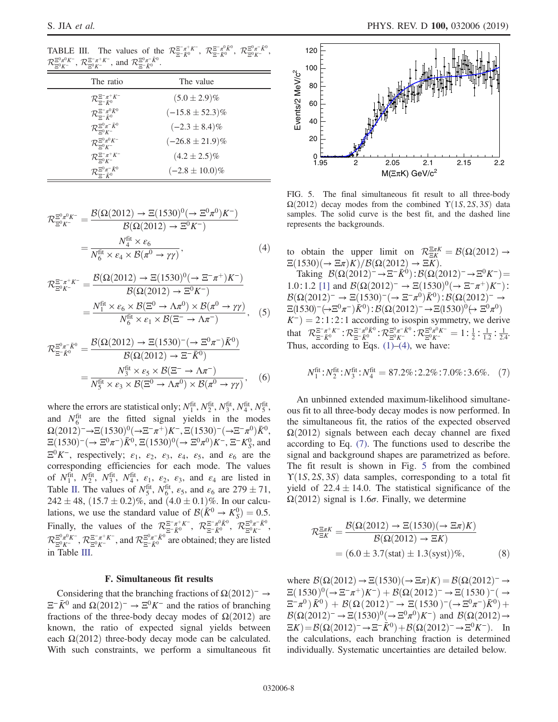<span id="page-7-0"></span>TABLE III. The values of the  $\mathcal{R}_{\Xi-\bar{K}^0}^{\Xi^-\pi^+K^-}$ ,  $\mathcal{R}_{\Xi-\bar{K}^0}^{\Xi^-\pi^0\bar{K}^0}$ ,  $\mathcal{R}_{\Xi^0\bar{K}^-}^{\Xi^0\pi^-\bar{K}^0}$ ,  $\mathcal{R}_{\Xi^0 K^-}^{\Xi^0 \pi^0 K^-}$ ,  $\mathcal{R}_{\Xi^0 K^-}^{\Xi^- \pi^+ K^-}$ , and  $\mathcal{R}_{\Xi^- \bar{K}^0}^{\Xi^0 \pi^- \bar{K}^0}$ .

| - - |                                                     |                      |
|-----|-----------------------------------------------------|----------------------|
|     | The ratio                                           | The value            |
|     | $\mathcal{R}_{\Xi^- \bar{K}^0}^{\Xi^- \pi^+ K^-}$   | $(5.0 \pm 2.9)\%$    |
|     | $\mathcal{R}_{\Xi^- \bar K^0}^{\Xi^-\pi^0\bar K^0}$ | $(-15.8 \pm 52.3)\%$ |
|     | $\mathcal{R}_{\Xi^0 K^-}^{\Xi^0 \pi^- \bar{K}^0}$   | $(-2.3 \pm 8.4)\%$   |
|     | $\mathcal{R}_{\Xi^0 K^-}^{\Xi^0 \pi^0 K^-}$         | $(-26.8 \pm 21.9)\%$ |
|     | $\mathcal{R}^{\Xi^-\pi^+K^-}_{\Xi^0K^-}$            | $(4.2 \pm 2.5)\%$    |
|     | $\mathcal{R}_{\Xi-\bar{\nu}0}^{\Xi^0\pi^-\bar{K}0}$ | $(-2.8 \pm 10.0)\%$  |

<span id="page-7-1"></span>
$$
\mathcal{R}_{\Xi^0 K^-}^{\Xi^0 \pi^0 K^-} = \frac{\mathcal{B}(\Omega(2012) \to \Xi(1530)^0 (\to \Xi^0 \pi^0) K^-)}{\mathcal{B}(\Omega(2012) \to \Xi^0 K^-)} = \frac{N_4^{\text{fit}} \times \varepsilon_6}{N_6^{\text{fit}} \times \varepsilon_4 \times \mathcal{B}(\pi^0 \to \gamma \gamma)},
$$
\n(4)

$$
\mathcal{R}_{\Xi^0 K^-}^{\Xi^- \pi^+ K^-} = \frac{\mathcal{B}(\Omega(2012) \to \Xi(1530)^0 (\to \Xi^- \pi^+) K^-)}{\mathcal{B}(\Omega(2012) \to \Xi^0 K^-)} = \frac{N_1^{\text{fit}} \times \varepsilon_6 \times \mathcal{B}(\Xi^0 \to \Lambda \pi^0) \times \mathcal{B}(\pi^0 \to \gamma \gamma)}{N_6^{\text{fit}} \times \varepsilon_1 \times \mathcal{B}(\Xi^- \to \Lambda \pi^-)},
$$
(5)

$$
\mathcal{R}_{\Xi^- \bar{K}^0}^{\Xi^0 \pi^- \bar{K}^0} = \frac{\mathcal{B}(\Omega(2012) \to \Xi(1530)^- (\to \Xi^0 \pi^-) \bar{K}^0)}{\mathcal{B}(\Omega(2012) \to \Xi^- \bar{K}^0)}
$$

$$
= \frac{N_3^{\rm fit} \times \varepsilon_5 \times \mathcal{B}(\Xi^- \to \Lambda \pi^-)}{N_5^{\rm fit} \times \varepsilon_3 \times \mathcal{B}(\Xi^0 \to \Lambda \pi^0) \times \mathcal{B}(\pi^0 \to \gamma \gamma)}, \quad (6)
$$

where the errors are statistical only;  $N_1^{\text{fit}}$ ,  $N_2^{\text{fit}}$ ,  $N_3^{\text{fit}}$ ,  $N_4^{\text{fit}}$ ,  $N_5^{\text{fit}}$ , and  $N_6^{\text{fit}}$  are the fitted signal yields in the modes  $Ω(2012) → Ξ(1530)<sup>0</sup>(→ Ξ<sup>-</sup>π<sup>+</sup>)K<sup>-</sup>, Ξ(1530)<sup>-</sup>(→ Ξ<sup>-</sup>π<sup>0</sup>)K<sup>0</sup>,$  $\Xi(1530)^- (\to \Xi^0 \pi^-) \bar{K}^0$ ,  $\Xi(1530)^0 (\to \Xi^0 \pi^0) K^-$ ,  $\Xi^- K_S^0$ , and  $\Xi^0 K^-$ , respectively;  $\varepsilon_1$ ,  $\varepsilon_2$ ,  $\varepsilon_3$ ,  $\varepsilon_4$ ,  $\varepsilon_5$ , and  $\varepsilon_6$  are the corresponding efficiencies for each mode. The values of  $N_1^{\text{fit}}$ ,  $N_2^{\text{fit}}$ ,  $N_3^{\text{fit}}$ ,  $N_4^{\text{fit}}$ ,  $\varepsilon_1$ ,  $\varepsilon_2$ ,  $\varepsilon_3$ , and  $\varepsilon_4$  are listed in Table [II](#page-6-1). The values of  $N_5^{\text{fit}}$ ,  $N_6^{\text{fit}}$ ,  $\varepsilon_5$ , and  $\varepsilon_6$  are  $279 \pm 71$ ,  $242 \pm 48$ ,  $(15.7 \pm 0.2)\%$ , and  $(4.0 \pm 0.1)\%$ . In our calculations, we use the standard value of  $\mathcal{B}(\bar{K}^0 \to K^0_S) = 0.5$ . Finally, the values of the  $\mathcal{R}_{\Xi-\bar{K}^0}^{\Xi^-\pi^+K^-}$ ,  $\mathcal{R}_{\Xi-\bar{K}^0}^{\Xi^-\pi^0\bar{K}^0}$ ,  $\mathcal{R}_{\Xi^0\bar{K}^-}^{\Xi^0\pi^-\bar{K}^0}$ ,  $\mathcal{R}_{\Xi^0 K^-}^{\Xi^0 \pi^0 K^-}$ ,  $\mathcal{R}_{\Xi^0 K^-}^{\Xi^-\pi^+ K^-}$ , and  $\mathcal{R}_{\Xi^- \bar{K}^0}^{\Xi^0 \pi^- \bar{K}^0}$  are obtained; they are listed in Table [III](#page-7-0).

#### F. Simultaneous fit results

Considering that the branching fractions of  $\Omega(2012)^{−} \rightarrow$  $\Xi^- \bar{K}^0$  and  $\Omega(2012)^- \to \Xi^0 K^-$  and the ratios of branching fractions of the three-body decay modes of  $\Omega(2012)$  are known, the ratio of expected signal yields between each  $\Omega(2012)$  three-body decay mode can be calculated. With such constraints, we perform a simultaneous fit

<span id="page-7-3"></span>

FIG. 5. The final simultaneous fit result to all three-body  $\Omega(2012)$  decay modes from the combined  $\Upsilon(1S, 2S, 3S)$  data samples. The solid curve is the best fit, and the dashed line represents the backgrounds.

to obtain the upper limit on  $\mathcal{R}^{\Xi\pi K}_{\Xi K} = \mathcal{B}(\Omega(2012) \rightarrow$  $\Xi(1530)(\rightarrow \Xi \pi)K)/B(\Omega(2012) \rightarrow \Xi K).$ 

Taking  $\mathcal{B}(\Omega(2012)^{-} \to \Xi^{-} \bar{K}^{0})$ :  $\mathcal{B}(\Omega(2012)^{-} \to \Xi^{0} K^{-})$ 1.0∶1.2 [\[1\]](#page-10-0) and  $\mathcal{B}(\Omega(2012)^- \to \Xi(1530)^0 (\to \Xi^-\pi^+) K^-)$ :  $\mathcal{B}(\Omega(2012)^-\to \Xi(1530)^-(\to \Xi^-\pi^0)\bar{K}^0)$ :  $\mathcal{B}(\Omega(2012)^-\to$  $\Xi(1530)^-\left(\rightarrow \Xi^0 \pi^-\right)\bar{K}^0$ :  $\mathcal{B}(\Omega(2012)^-\rightarrow \Xi(1530)^0\leftrightarrow \Xi^0 \pi^0)$  $K^-$ ) = 2:1:2:1 according to isospin symmetry, we derive that  $\mathcal{R}_{\Xi^- \bar{K}^0}^{\Xi^- \pi^+ K^-}$ :  $\mathcal{R}_{\Xi^- \bar{K}^0}^{\Xi^0 \pi^0 \bar{K}^0}$ :  $\mathcal{R}_{\Xi^0 K^-}^{\Xi^0 \pi^0 K^-}$  = 1:  $\frac{1}{2}$ :  $\frac{1}{1.2}$ :  $\frac{1}{2.4}$ : Thus, according to Eqs.  $(1)$ – $(4)$ , we have:

<span id="page-7-2"></span>
$$
N_1^{\text{fit}}: N_2^{\text{fit}}: N_3^{\text{fit}}: N_4^{\text{fit}} = 87.2\% : 2.2\% : 7.0\% : 3.6\% . \tag{7}
$$

An unbinned extended maximum-likelihood simultaneous fit to all three-body decay modes is now performed. In the simultaneous fit, the ratios of the expected observed  $\Omega(2012)$  signals between each decay channel are fixed according to Eq. [\(7\).](#page-7-2) The functions used to describe the signal and background shapes are parametrized as before. The fit result is shown in Fig. [5](#page-7-3) from the combined  $\Upsilon(1S, 2S, 3S)$  data samples, corresponding to a total fit yield of  $22.4 \pm 14.0$ . The statistical significance of the  $\Omega(2012)$  signal is 1.6 $\sigma$ . Finally, we determine

$$
\mathcal{R}_{\Xi K}^{\Xi\pi K} = \frac{\mathcal{B}(\Omega(2012) \to \Xi(1530)(\to \Xi\pi)K)}{\mathcal{B}(\Omega(2012) \to \Xi K)}
$$
  
= (6.0 \pm 3.7(stat) \pm 1.3(syst))%, (8)

where  $\mathcal{B}(\Omega(2012) \to \Xi(1530)(\to \Xi \pi)K) = \mathcal{B}(\Omega(2012)^{-} \to$  $\Xi(1530)^0(\rightarrow \Xi^-\pi^+)K^-)+\mathcal{B}(\Omega(2012)^-\rightarrow \Xi(1530)^-(\rightarrow$  $\Xi^-\pi^0$   $\bar{K}^0$  +  $\mathcal{B}(\Omega(2012)^-\to \Xi(1530)^-(\to \Xi^0\pi^-)\bar{K}^0)$  +  $\mathcal{B}(\Omega(2012)^{-} \to \Xi(1530)^{0} (\to \Xi^{0}\pi^{0})K^{-})$  and  $\mathcal{B}(\Omega(2012) \to$  $\Xi K$ ) =  $\mathcal{B}(\Omega(2012)^-\to \Xi^- \bar{K}^0) + \mathcal{B}(\Omega(2012)^-\to \Xi^0 K^-)$ . In the calculations, each branching fraction is determined individually. Systematic uncertainties are detailed below.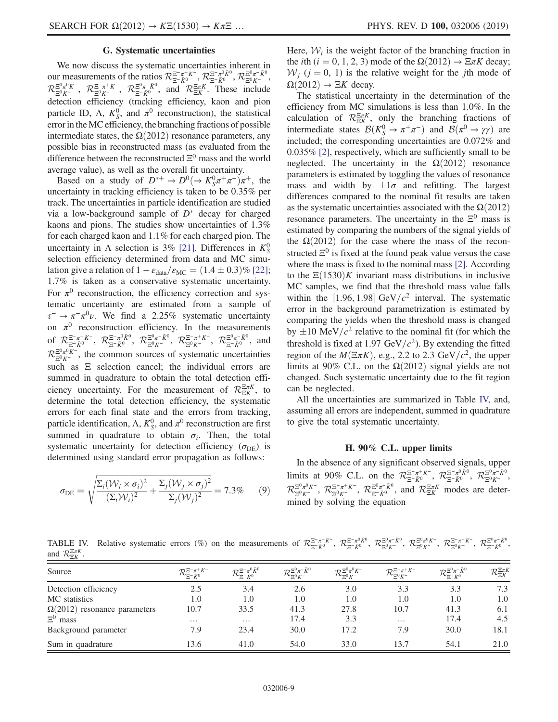## G. Systematic uncertainties

We now discuss the systematic uncertainties inherent in our measurements of the ratios  $\mathcal{R}_{\Xi^- \bar{K}^0}^{\Xi^- \pi^+ K^-}, \mathcal{R}_{\Xi^- \bar{K}^0}^{\Xi^- \pi^0 \bar{K}^0}, \mathcal{R}_{\Xi^0 K^-}^{\Xi^0 \pi^- \bar{K}^0}$  $\mathcal{R}_{\Xi^0 K^-}^{\Xi^0 \pi^0 K^-}$ ,  $\mathcal{R}_{\Xi^- \bar{K}^0}^{\Xi^0 \pi^- \bar{K}^0}$ , and  $\mathcal{R}_{\Xi K}^{\Xi \pi K}$ . These include detection efficiency (tracking efficiency, kaon and pion particle ID,  $\Lambda$ ,  $K_S^0$ , and  $\pi^0$  reconstruction), the statistical error in the MC efficiency, the branching fractions of possible intermediate states, the  $\Omega(2012)$  resonance parameters, any possible bias in reconstructed mass (as evaluated from the difference between the reconstructed  $\Xi^0$  mass and the world average value), as well as the overall fit uncertainty.

Based on a study of  $D^{*+} \to D^0 (\to K_S^0 \pi^+ \pi^-) \pi^+$ , the uncertainty in tracking efficiency is taken to be 0.35% per track. The uncertainties in particle identification are studied via a low-background sample of  $D^*$  decay for charged kaons and pions. The studies show uncertainties of 1.3% for each charged kaon and 1.1% for each charged pion. The uncertainty in  $\Lambda$  selection is 3% [\[21\].](#page-10-14) Differences in  $K_S^0$ selection efficiency determined from data and MC simulation give a relation of  $1 - \varepsilon_{data}/\varepsilon_{MC} = (1.4 \pm 0.3)\%$  [\[22\]](#page-10-15); 1.7% is taken as a conservative systematic uncertainty. For  $\pi^0$  reconstruction, the efficiency correction and systematic uncertainty are estimated from a sample of  $\tau^-$  →  $\pi^- \pi^0 \nu$ . We find a 2.25% systematic uncertainty on  $\pi^0$  reconstruction efficiency. In the measurements of  $\mathcal{R}^{\Xi^-\pi^+K^-}_{\Xi^-\bar{K}^0}$ ,  $\mathcal{R}^{\Xi^0\pi^-\bar{K}^0}_{\Xi^0K^-}$ ,  $\mathcal{R}^{\Xi^-\pi^+K^-}_{\Xi^0\bar{K}^0}$ ,  $\mathcal{R}^{\Xi^0\pi^-\bar{K}^0}_{\Xi^-\bar{K}^0}$ , and  $\mathcal{R}_{\Xi^0\mathcal{K}^-}^{\Xi^0\pi^0\mathcal{K}^-}$ , the common sources of systematic uncertainties such as  $E$  selection cancel; the individual errors are summed in quadrature to obtain the total detection efficiency uncertainty. For the measurement of  $\mathcal{R}_{\Xi K}^{\Xi \pi K}$ , to determine the total detection efficiency, the systematic errors for each final state and the errors from tracking, particle identification,  $\Lambda$ ,  $K_S^0$ , and  $\pi^0$  reconstruction are first summed in quadrature to obtain  $\sigma_i$ . Then, the total systematic uncertainty for detection efficiency ( $\sigma_{DE}$ ) is determined using standard error propagation as follows:

$$
\sigma_{\rm DE} = \sqrt{\frac{\Sigma_i (\mathcal{W}_i \times \sigma_i)^2}{(\Sigma_i \mathcal{W}_i)^2} + \frac{\Sigma_j (\mathcal{W}_j \times \sigma_j)^2}{\Sigma_j (\mathcal{W}_j)^2}} = 7.3\% \tag{9}
$$

Here,  $W_i$  is the weight factor of the branching fraction in the *i*th (*i* = 0, 1, 2, 3) mode of the  $\Omega(2012) \rightarrow \Xi \pi K$  decay;  $W_i$  (j = 0, 1) is the relative weight for the jth mode of  $\Omega(2012) \rightarrow \Xi K$  decay.

The statistical uncertainty in the determination of the efficiency from MC simulations is less than 1.0%. In the calculation of  $\mathcal{R}_{\Xi K}^{\Xi \pi K}$ , only the branching fractions of intermediate states  $\mathcal{B}(K_S^0 \to \pi^+ \pi^-)$  and  $\mathcal{B}(\pi^0 \to \gamma \gamma)$  are included; the corresponding uncertainties are 0.072% and 0.035% [\[2\],](#page-10-1) respectively, which are sufficiently small to be neglected. The uncertainty in the  $\Omega(2012)$  resonance parameters is estimated by toggling the values of resonance mass and width by  $\pm 1\sigma$  and refitting. The largest differences compared to the nominal fit results are taken as the systematic uncertainties associated with the  $\Omega(2012)$ resonance parameters. The uncertainty in the  $\Xi^0$  mass is estimated by comparing the numbers of the signal yields of the  $\Omega(2012)$  for the case where the mass of the reconstructed  $\Xi^0$  is fixed at the found peak value versus the case where the mass is fixed to the nominal mass [\[2\]](#page-10-1). According to the  $\Xi(1530)K$  invariant mass distributions in inclusive MC samples, we find that the threshold mass value falls within the [1.96, 1.98] GeV/ $c^2$  interval. The systematic error in the background parametrization is estimated by comparing the yields when the threshold mass is changed by  $\pm 10 \text{ MeV}/c^2$  relative to the nominal fit (for which the threshold is fixed at 1.97 GeV/ $c^2$ ). By extending the fitted region of the  $M(\Xi \pi K)$ , e.g., 2.2 to 2.3 GeV/ $c^2$ , the upper limits at 90% C.L. on the  $\Omega(2012)$  signal yields are not changed. Such systematic uncertainty due to the fit region can be neglected.

All the uncertainties are summarized in Table [IV,](#page-8-0) and, assuming all errors are independent, summed in quadrature to give the total systematic uncertainty.

#### H. 90% C.L. upper limits

In the absence of any significant observed signals, upper limits at 90% C.L. on the  $\mathcal{R}_{\Xi^- \bar{K}^0}^{\Xi^- \pi^+ K^-}$ ,  $\mathcal{R}_{\Xi^- \bar{K}^0}^{\Xi^- \pi^0 \bar{K}^0}$ ,  $\mathcal{R}_{\Xi^0 K^-}^{\Xi^0 \pi^- \bar{K}^0}$ ,  $\mathcal{R}^{\Xi^0\pi^0K^-}_{\Xi^0K^-}$ ,  $\mathcal{R}^{\Xi^-\pi^+K^-}_{\Xi^-\bar{K}^0}$ , and  $\mathcal{R}^{\Xi\pi K}_{\Xi K}$  modes are determined by solving the equation

<span id="page-8-0"></span>TABLE IV. Relative systematic errors (%) on the measurements of  $\mathcal{R}^{\Xi^-\pi^+K^-}_{\Xi^-\bar{K}^0}$ ,  $\mathcal{R}^{\Xi^0\pi^-\bar{K}^0}_{\Xi^0K^-}$ ,  $\mathcal{R}^{\Xi^0\pi^0K^-}_{\Xi^0K^-}$ ,  $\mathcal{R}^{\Xi^0\pi^+K^-}_{\Xi^0K^-}$ ,  $\mathcal{R}^{\Xi^0\pi^+K^-}_{\Xi^0K^-}$ ,  $\mathcal{$ and  $\mathcal{R}^{\Xi\pi K}_{\Xi K}$ .

| Source                              | $\mathcal{R}_{\Xi^- \bar{K}^0}^{\Xi^- \pi^+ K^-}$ | $\mathcal{R}_{\pi^- \bar K^0}^{\Xi^-\pi^0\bar K^0}$ | $\mathcal{R}_{\pi^0\boldsymbol{K}^-}^{\Xi^0\pi^-\bar{K}^0}$ | $\mathcal{R}_{\Xi^0 K^-}^{\Xi^0 \pi^0 K^-}$ | $\mathcal{R}_{\Xi^0 K^-}^{\Xi^-\pi^+ K^-}$ | $\mathcal{R}_{\pi^- \bar{K}^0}^{\Xi^0 \pi^- \bar{K}^0}$ | $\mathcal{R}^{\Xi\pi K}_{\Xi K}$ |
|-------------------------------------|---------------------------------------------------|-----------------------------------------------------|-------------------------------------------------------------|---------------------------------------------|--------------------------------------------|---------------------------------------------------------|----------------------------------|
| Detection efficiency                | 2.5                                               | 3.4                                                 | 2.6                                                         | 3.0                                         | 3.3                                        | 3.3                                                     | 7.3                              |
| MC statistics                       | 1.0                                               | 1.0                                                 | 1.0                                                         | 1.0                                         | 1.0                                        | 1.0                                                     | 1.0                              |
| $\Omega(2012)$ resonance parameters | 10.7                                              | 33.5                                                | 41.3                                                        | 27.8                                        | 10.7                                       | 41.3                                                    | 6.1                              |
| $E^0$ mass                          | $\cdots$                                          | $\cdots$                                            | 17.4                                                        | 3.3                                         | $\cdots$                                   | 17.4                                                    | 4.5                              |
| Background parameter                | 7.9                                               | 23.4                                                | 30.0                                                        | 17.2                                        | 7.9                                        | 30.0                                                    | 18.1                             |
| Sum in quadrature                   | 13.6                                              | 41.0                                                | 54.0                                                        | 33.0                                        | 13.7                                       | 54.1                                                    | 21.0                             |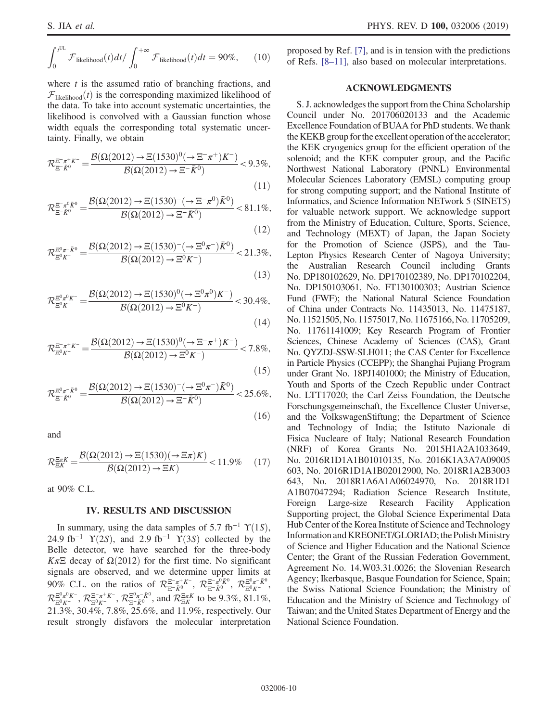$$
\int_0^{t^{UL}} \mathcal{F}_{\text{likelihood}}(t) dt / \int_0^{+\infty} \mathcal{F}_{\text{likelihood}}(t) dt = 90\%, \quad (10)
$$

where  $t$  is the assumed ratio of branching fractions, and  $\mathcal{F}_{likelihood}(t)$  is the corresponding maximized likelihood of the data. To take into account systematic uncertainties, the likelihood is convolved with a Gaussian function whose width equals the corresponding total systematic uncertainty. Finally, we obtain

$$
\mathcal{R}_{\Xi^- \bar{K}^0}^{\Xi^- \pi^+ K^-} = \frac{\mathcal{B}(\Omega(2012) \to \Xi(1530)^0 (\to \Xi^- \pi^+) K^-)}{\mathcal{B}(\Omega(2012) \to \Xi^- \bar{K}^0)} < 9.3\%,\tag{11}
$$

$$
\mathcal{R}_{\Xi^- \bar{K}^0}^{\Xi^- \pi^0 \bar{K}^0} = \frac{\mathcal{B}(\Omega(2012) \to \Xi(1530)^- (\to \Xi^- \pi^0) \bar{K}^0)}{\mathcal{B}(\Omega(2012) \to \Xi^- \bar{K}^0)} < 81.1\%,
$$

$$
(12)
$$

$$
\mathcal{R}_{\Xi^{0}K^{-}}^{\Xi^{0}\pi^{-}\bar{K}^{0}} = \frac{\mathcal{B}(\Omega(2012) \to \Xi(1530)^{-} (\to \Xi^{0}\pi^{-})\bar{K}^{0})}{\mathcal{B}(\Omega(2012) \to \Xi^{0}K^{-})} < 21.3\%,
$$
\n(13)

$$
\mathcal{R}_{\Xi^{0}K^{-}}^{\Xi^{0}\pi^{0}K^{-}} = \frac{\mathcal{B}(\Omega(2012) \to \Xi(1530)^{0} (\to \Xi^{0}\pi^{0})K^{-})}{\mathcal{B}(\Omega(2012) \to \Xi^{0}K^{-})} < 30.4\%,
$$
\n(14)

$$
\mathcal{R}_{\Xi^0 K^-}^{\Xi^-\pi^+ K^-} = \frac{\mathcal{B}(\Omega(2012) \to \Xi(1530)^0 (\to \Xi^-\pi^+) K^-)}{\mathcal{B}(\Omega(2012) \to \Xi^0 K^-)} < 7.8\%,
$$

$$
(15)
$$

 $(16)$ 

$$
\mathcal{R}_{\Xi^{-}\bar{K}^{0}}^{\Xi^{0}\pi^{-}\bar{K}^{0}} = \frac{\mathcal{B}(\Omega(2012) \to \Xi(1530)^{-} (\to \Xi^{0}\pi^{-})\bar{K}^{0})}{\mathcal{B}(\Omega(2012) \to \Xi^{-}\bar{K}^{0})} < 25.6\%,
$$

and

$$
\mathcal{R}_{\Xi K}^{\Xi\pi K} = \frac{\mathcal{B}(\Omega(2012) \to \Xi(1530)(\to \Xi\pi)K)}{\mathcal{B}(\Omega(2012) \to \Xi K)} < 11.9\% \tag{17}
$$

at 90% C.L.

## IV. RESULTS AND DISCUSSION

In summary, using the data samples of 5.7 fb<sup>-1</sup>  $\Upsilon(1S)$ , 24.9 fb<sup>-1</sup>  $\Upsilon(2S)$ , and 2.9 fb<sup>-1</sup>  $\Upsilon(3S)$  collected by the Belle detector, we have searched for the three-body Kπ $\Xi$  decay of  $\Omega(2012)$  for the first time. No significant signals are observed, and we determine upper limits at 90% C.L. on the ratios of  $\mathcal{R}_{\Xi-\bar{K}^0}^{\Xi^-\pi^+K^-}$ ,  $\mathcal{R}_{\Xi-\bar{K}^0}^{\Xi^-\pi^0\bar{K}^0}$ ,  $\mathcal{R}_{\Xi^0\bar{K}^-}^{\Xi^0\pi^-\bar{K}^0}$ ,  $\mathcal{R}_{\Xi^0 K^-}^{\Xi^0 \pi^0 K^-}$ ,  $\mathcal{R}_{\Xi^0 K^-}^{\Xi^0 \pi^+ \bar{K}^0}$ , and  $\mathcal{R}_{\Xi K}^{\Xi \pi K}$  to be 9.3%, 81.1%, 21.3%, 30.4%, 7.8%, 25.6%, and 11.9%, respectively. Our result strongly disfavors the molecular interpretation proposed by Ref. [\[7\]](#page-10-3), and is in tension with the predictions of Refs. [8–[11\]](#page-10-4), also based on molecular interpretations.

### ACKNOWLEDGMENTS

S. J. acknowledges the support from the China Scholarship Council under No. 201706020133 and the Academic Excellence Foundation of BUAA for PhD students. We thank the KEKB group for the excellent operation of the accelerator; the KEK cryogenics group for the efficient operation of the solenoid; and the KEK computer group, and the Pacific Northwest National Laboratory (PNNL) Environmental Molecular Sciences Laboratory (EMSL) computing group for strong computing support; and the National Institute of Informatics, and Science Information NETwork 5 (SINET5) for valuable network support. We acknowledge support from the Ministry of Education, Culture, Sports, Science, and Technology (MEXT) of Japan, the Japan Society for the Promotion of Science (JSPS), and the Tau-Lepton Physics Research Center of Nagoya University; the Australian Research Council including Grants No. DP180102629, No. DP170102389, No. DP170102204, No. DP150103061, No. FT130100303; Austrian Science Fund (FWF); the National Natural Science Foundation of China under Contracts No. 11435013, No. 11475187, No. 11521505, No. 11575017, No. 11675166, No. 11705209, No. 11761141009; Key Research Program of Frontier Sciences, Chinese Academy of Sciences (CAS), Grant No. QYZDJ-SSW-SLH011; the CAS Center for Excellence in Particle Physics (CCEPP); the Shanghai Pujiang Program under Grant No. 18PJ1401000; the Ministry of Education, Youth and Sports of the Czech Republic under Contract No. LTT17020; the Carl Zeiss Foundation, the Deutsche Forschungsgemeinschaft, the Excellence Cluster Universe, and the VolkswagenStiftung; the Department of Science and Technology of India; the Istituto Nazionale di Fisica Nucleare of Italy; National Research Foundation (NRF) of Korea Grants No. 2015H1A2A1033649, No. 2016R1D1A1B01010135, No. 2016K1A3A7A09005 603, No. 2016R1D1A1B02012900, No. 2018R1A2B3003 643, No. 2018R1A6A1A06024970, No. 2018R1D1 A1B07047294; Radiation Science Research Institute, Foreign Large-size Research Facility Application Supporting project, the Global Science Experimental Data Hub Center of the Korea Institute of Science and Technology Information and KREONET/GLORIAD; the PolishMinistry of Science and Higher Education and the National Science Center; the Grant of the Russian Federation Government, Agreement No. 14.W03.31.0026; the Slovenian Research Agency; Ikerbasque, Basque Foundation for Science, Spain; the Swiss National Science Foundation; the Ministry of Education and the Ministry of Science and Technology of Taiwan; and the United States Department of Energy and the National Science Foundation.